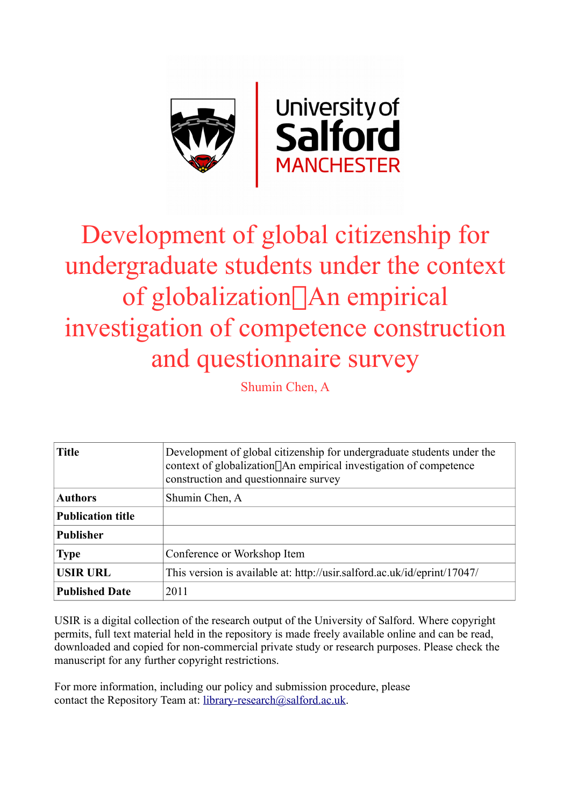

# Development of global citizenship for undergraduate students under the context of globalization<sup>[</sup>] An empirical investigation of competence construction and questionnaire survey

Shumin Chen, A

| <b>Title</b>             | Development of global citizenship for undergraduate students under the<br>context of globalization <sup>[</sup> ]An empirical investigation of competence<br>construction and questionnaire survey |
|--------------------------|----------------------------------------------------------------------------------------------------------------------------------------------------------------------------------------------------|
| <b>Authors</b>           | Shumin Chen, A                                                                                                                                                                                     |
| <b>Publication title</b> |                                                                                                                                                                                                    |
| <b>Publisher</b>         |                                                                                                                                                                                                    |
| <b>Type</b>              | Conference or Workshop Item                                                                                                                                                                        |
| <b>USIR URL</b>          | This version is available at: http://usir.salford.ac.uk/id/eprint/17047/                                                                                                                           |
| <b>Published Date</b>    | 2011                                                                                                                                                                                               |

USIR is a digital collection of the research output of the University of Salford. Where copyright permits, full text material held in the repository is made freely available online and can be read, downloaded and copied for non-commercial private study or research purposes. Please check the manuscript for any further copyright restrictions.

For more information, including our policy and submission procedure, please contact the Repository Team at: [library-research@salford.ac.uk.](mailto:library-research@salford.ac.uk)